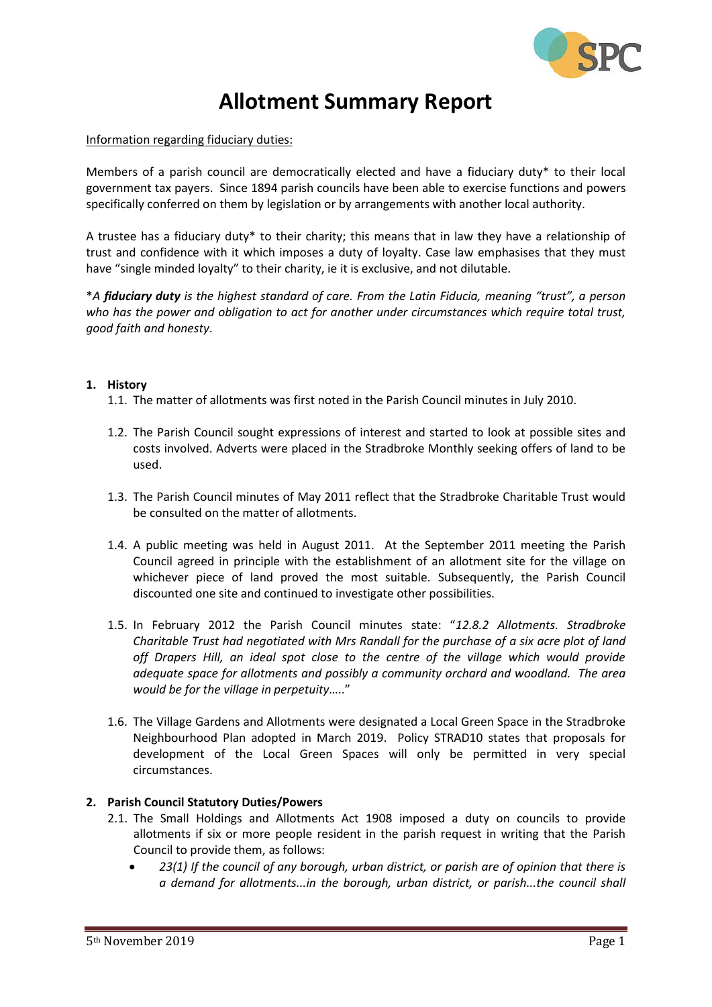

# **Allotment Summary Report**

Information regarding fiduciary duties:

Members of a parish council are democratically elected and have a fiduciary duty\* to their local government tax payers. Since 1894 parish councils have been able to exercise functions and powers specifically conferred on them by legislation or by arrangements with another local authority.

A trustee has a fiduciary duty\* to their charity; this means that in law they have a relationship of trust and confidence with it which imposes a duty of loyalty. Case law emphasises that they must have "single minded loyalty" to their charity, ie it is exclusive, and not dilutable.

\**A fiduciary duty is the highest standard of care. From the Latin Fiducia, meaning "trust", a person who has the power and obligation to act for another under circumstances which require total trust, good faith and honesty*.

### **1. History**

- 1.1. The matter of allotments was first noted in the Parish Council minutes in July 2010.
- 1.2. The Parish Council sought expressions of interest and started to look at possible sites and costs involved. Adverts were placed in the Stradbroke Monthly seeking offers of land to be used.
- 1.3. The Parish Council minutes of May 2011 reflect that the Stradbroke Charitable Trust would be consulted on the matter of allotments.
- 1.4. A public meeting was held in August 2011. At the September 2011 meeting the Parish Council agreed in principle with the establishment of an allotment site for the village on whichever piece of land proved the most suitable. Subsequently, the Parish Council discounted one site and continued to investigate other possibilities.
- 1.5. In February 2012 the Parish Council minutes state: "*12.8.2 Allotments. Stradbroke Charitable Trust had negotiated with Mrs Randall for the purchase of a six acre plot of land off Drapers Hill, an ideal spot close to the centre of the village which would provide adequate space for allotments and possibly a community orchard and woodland. The area would be for the village in perpetuity*….."
- 1.6. The Village Gardens and Allotments were designated a Local Green Space in the Stradbroke Neighbourhood Plan adopted in March 2019. Policy STRAD10 states that proposals for development of the Local Green Spaces will only be permitted in very special circumstances.

#### **2. Parish Council Statutory Duties/Powers**

- 2.1. The Small Holdings and Allotments Act 1908 imposed a duty on councils to provide allotments if six or more people resident in the parish request in writing that the Parish Council to provide them, as follows:
	- *23(1) If the council of any borough, urban district, or parish are of opinion that there is a demand for allotments...in the borough, urban district, or parish...the council shall*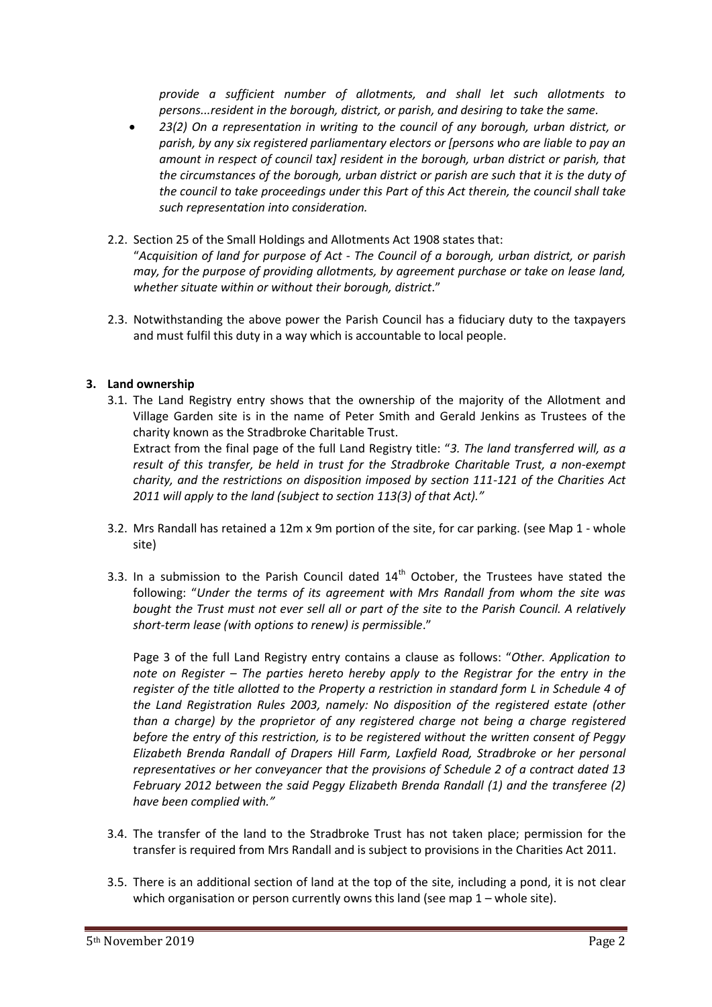*provide a sufficient number of allotments, and shall let such allotments to persons...resident in the borough, district, or parish, and desiring to take the same.*

- *23(2) On a representation in writing to the council of any borough, urban district, or parish, by any six registered parliamentary electors or [persons who are liable to pay an amount in respect of council tax] resident in the borough, urban district or parish, that the circumstances of the borough, urban district or parish are such that it is the duty of the council to take proceedings under this Part of this Act therein, the council shall take such representation into consideration.*
- 2.2. Section 25 of the Small Holdings and Allotments Act 1908 states that: "*Acquisition of land for purpose of Act - The Council of a borough, urban district, or parish may, for the purpose of providing allotments, by agreement purchase or take on lease land, whether situate within or without their borough, district*."
- 2.3. Notwithstanding the above power the Parish Council has a fiduciary duty to the taxpayers and must fulfil this duty in a way which is accountable to local people.

## **3. Land ownership**

3.1. The Land Registry entry shows that the ownership of the majority of the Allotment and Village Garden site is in the name of Peter Smith and Gerald Jenkins as Trustees of the charity known as the Stradbroke Charitable Trust.

Extract from the final page of the full Land Registry title: "*3. The land transferred will, as a result of this transfer, be held in trust for the Stradbroke Charitable Trust, a non-exempt charity, and the restrictions on disposition imposed by section 111-121 of the Charities Act 2011 will apply to the land (subject to section 113(3) of that Act)."*

- 3.2. Mrs Randall has retained a 12m x 9m portion of the site, for car parking. (see Map 1 whole site)
- 3.3. In a submission to the Parish Council dated  $14<sup>th</sup>$  October, the Trustees have stated the following: "*Under the terms of its agreement with Mrs Randall from whom the site was bought the Trust must not ever sell all or part of the site to the Parish Council. A relatively short-term lease (with options to renew) is permissible*."

Page 3 of the full Land Registry entry contains a clause as follows: "*Other. Application to note on Register – The parties hereto hereby apply to the Registrar for the entry in the register of the title allotted to the Property a restriction in standard form L in Schedule 4 of the Land Registration Rules 2003, namely: No disposition of the registered estate (other than a charge) by the proprietor of any registered charge not being a charge registered before the entry of this restriction, is to be registered without the written consent of Peggy Elizabeth Brenda Randall of Drapers Hill Farm, Laxfield Road, Stradbroke or her personal representatives or her conveyancer that the provisions of Schedule 2 of a contract dated 13 February 2012 between the said Peggy Elizabeth Brenda Randall (1) and the transferee (2) have been complied with."*

- 3.4. The transfer of the land to the Stradbroke Trust has not taken place; permission for the transfer is required from Mrs Randall and is subject to provisions in the Charities Act 2011.
- 3.5. There is an additional section of land at the top of the site, including a pond, it is not clear which organisation or person currently owns this land (see map 1 – whole site).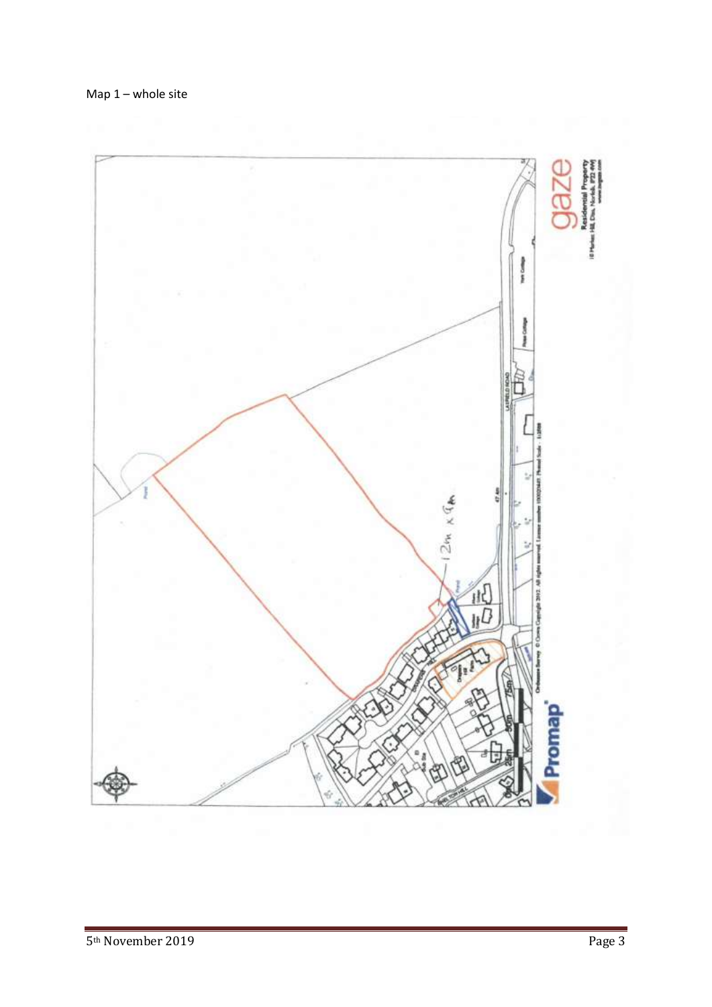